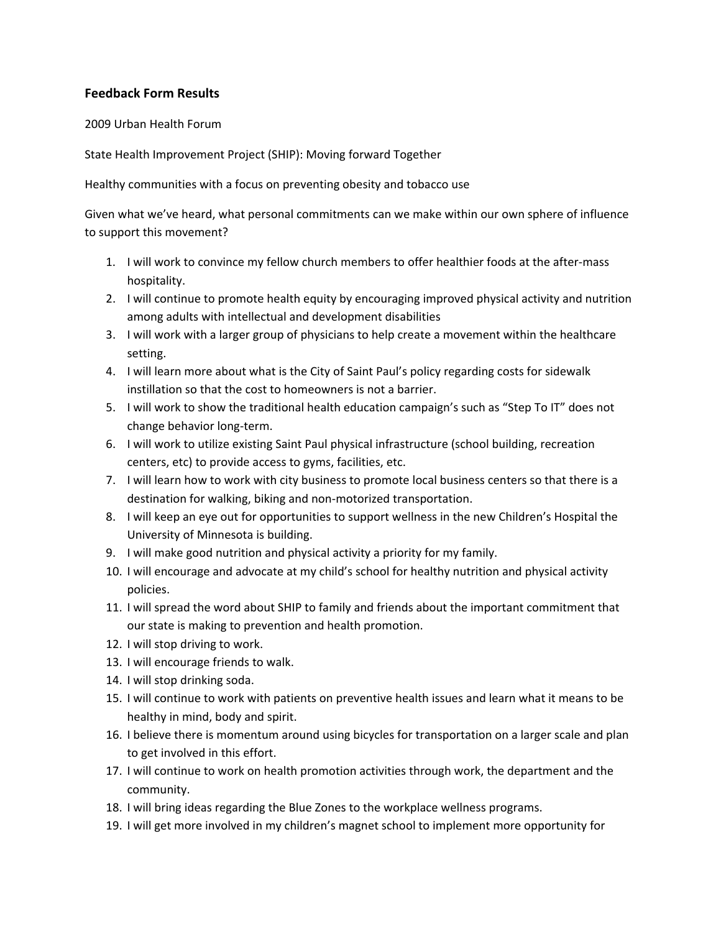## **Feedback Form Results**

## 2009 Urban Health Forum

State Health Improvement Project (SHIP): Moving forward Together

Healthy communities with a focus on preventing obesity and tobacco use

Given what we've heard, what personal commitments can we make within our own sphere of influence to support this movement?

- 1. I will work to convince my fellow church members to offer healthier foods at the after‐mass hospitality.
- 2. I will continue to promote health equity by encouraging improved physical activity and nutrition among adults with intellectual and development disabilities
- 3. I will work with a larger group of physicians to help create a movement within the healthcare setting.
- 4. I will learn more about what is the City of Saint Paul's policy regarding costs for sidewalk instillation so that the cost to homeowners is not a barrier.
- 5. I will work to show the traditional health education campaign's such as "Step To IT" does not change behavior long‐term.
- 6. I will work to utilize existing Saint Paul physical infrastructure (school building, recreation centers, etc) to provide access to gyms, facilities, etc.
- 7. I will learn how to work with city business to promote local business centers so that there is a destination for walking, biking and non‐motorized transportation.
- 8. I will keep an eye out for opportunities to support wellness in the new Children's Hospital the University of Minnesota is building.
- 9. I will make good nutrition and physical activity a priority for my family.
- 10. I will encourage and advocate at my child's school for healthy nutrition and physical activity policies.
- 11. I will spread the word about SHIP to family and friends about the important commitment that our state is making to prevention and health promotion.
- 12. I will stop driving to work.
- 13. I will encourage friends to walk.
- 14. I will stop drinking soda.
- 15. I will continue to work with patients on preventive health issues and learn what it means to be healthy in mind, body and spirit.
- 16. I believe there is momentum around using bicycles for transportation on a larger scale and plan to get involved in this effort.
- 17. I will continue to work on health promotion activities through work, the department and the community.
- 18. I will bring ideas regarding the Blue Zones to the workplace wellness programs.
- 19. I will get more involved in my children's magnet school to implement more opportunity for